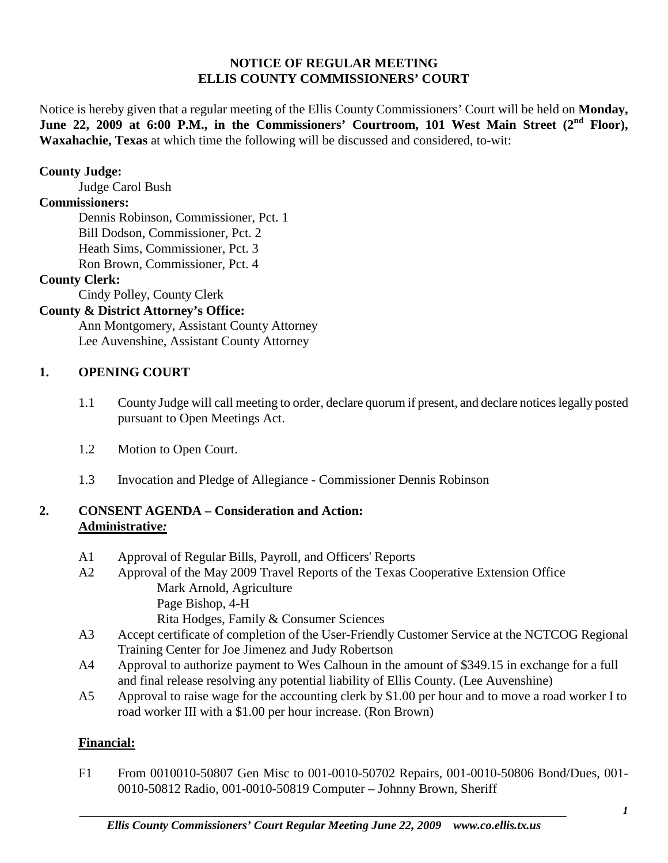### **NOTICE OF REGULAR MEETING ELLIS COUNTY COMMISSIONERS' COURT**

Notice is hereby given that a regular meeting of the Ellis County Commissioners' Court will be held on **Monday,**  June 22, 2009 at 6:00 P.M., in the Commissioners' Courtroom, 101 West Main Street (2<sup>nd</sup> Floor), **Waxahachie, Texas** at which time the following will be discussed and considered, to-wit:

## **County Judge:**

Judge Carol Bush

# **Commissioners:**

Dennis Robinson, Commissioner, Pct. 1 Bill Dodson, Commissioner, Pct. 2 Heath Sims, Commissioner, Pct. 3 Ron Brown, Commissioner, Pct. 4

## **County Clerk:**

Cindy Polley, County Clerk

## **County & District Attorney's Office:**

Ann Montgomery, Assistant County Attorney Lee Auvenshine, Assistant County Attorney

## **1. OPENING COURT**

- 1.1 County Judge will call meeting to order, declare quorum if present, and declare notices legally posted pursuant to Open Meetings Act.
- 1.2 Motion to Open Court.
- 1.3 Invocation and Pledge of Allegiance Commissioner Dennis Robinson

## **2. CONSENT AGENDA – Consideration and Action: Administrative***:*

- A1 Approval of Regular Bills, Payroll, and Officers' Reports
- A2 Approval of the May 2009 Travel Reports of the Texas Cooperative Extension Office Mark Arnold, Agriculture Page Bishop, 4-H Rita Hodges, Family & Consumer Sciences
- A3 Accept certificate of completion of the User-Friendly Customer Service at the NCTCOG Regional Training Center for Joe Jimenez and Judy Robertson
- A4 Approval to authorize payment to Wes Calhoun in the amount of \$349.15 in exchange for a full and final release resolving any potential liability of Ellis County. (Lee Auvenshine)
- A5 Approval to raise wage for the accounting clerk by \$1.00 per hour and to move a road worker I to road worker III with a \$1.00 per hour increase. (Ron Brown)

### **Financial:**

F1 From 0010010-50807 Gen Misc to 001-0010-50702 Repairs, 001-0010-50806 Bond/Dues, 001- 0010-50812 Radio, 001-0010-50819 Computer – Johnny Brown, Sheriff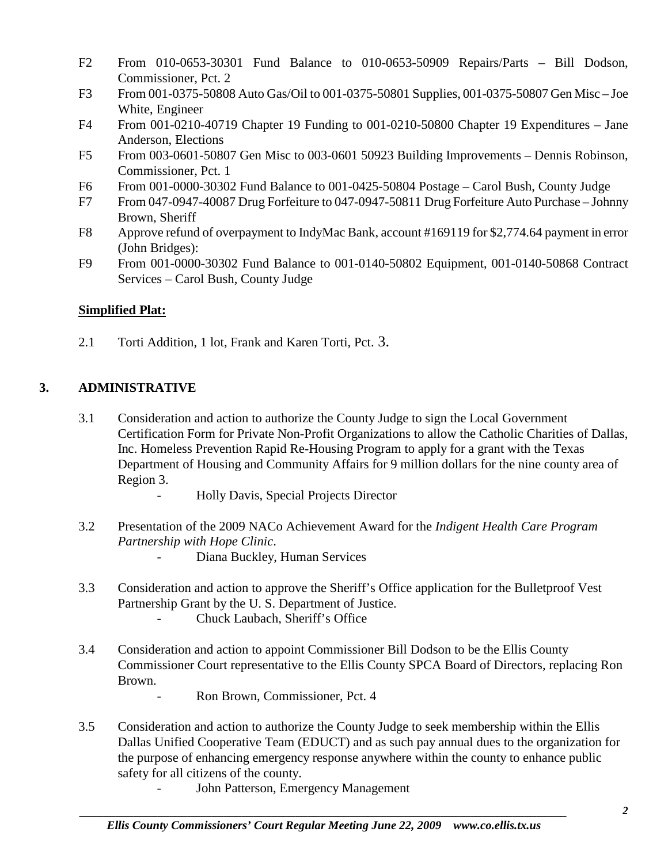- F2 From 010-0653-30301 Fund Balance to 010-0653-50909 Repairs/Parts Bill Dodson, Commissioner, Pct. 2
- F3 From 001-0375-50808 Auto Gas/Oil to 001-0375-50801 Supplies, 001-0375-50807 Gen Misc Joe White, Engineer
- F4 From 001-0210-40719 Chapter 19 Funding to 001-0210-50800 Chapter 19 Expenditures Jane Anderson, Elections
- F5 From 003-0601-50807 Gen Misc to 003-0601 50923 Building Improvements Dennis Robinson, Commissioner, Pct. 1
- F6 From 001-0000-30302 Fund Balance to 001-0425-50804 Postage Carol Bush, County Judge
- F7 From 047-0947-40087 Drug Forfeiture to 047-0947-50811 Drug Forfeiture Auto Purchase Johnny Brown, Sheriff
- F8 Approve refund of overpayment to IndyMac Bank, account #169119 for \$2,774.64 payment in error (John Bridges):
- F9 From 001-0000-30302 Fund Balance to 001-0140-50802 Equipment, 001-0140-50868 Contract Services – Carol Bush, County Judge

# **Simplified Plat:**

2.1 Torti Addition, 1 lot, Frank and Karen Torti, Pct. 3.

# **3. ADMINISTRATIVE**

- 3.1 Consideration and action to authorize the County Judge to sign the Local Government Certification Form for Private Non-Profit Organizations to allow the Catholic Charities of Dallas, Inc. Homeless Prevention Rapid Re-Housing Program to apply for a grant with the Texas Department of Housing and Community Affairs for 9 million dollars for the nine county area of Region 3.
	- Holly Davis, Special Projects Director
- 3.2 Presentation of the 2009 NACo Achievement Award for the *Indigent Health Care Program Partnership with Hope Clinic*.
	- Diana Buckley, Human Services
- 3.3 Consideration and action to approve the Sheriff's Office application for the Bulletproof Vest Partnership Grant by the U. S. Department of Justice. - Chuck Laubach, Sheriff's Office
- 3.4 Consideration and action to appoint Commissioner Bill Dodson to be the Ellis County Commissioner Court representative to the Ellis County SPCA Board of Directors, replacing Ron Brown.
	- Ron Brown, Commissioner, Pct. 4
- 3.5 Consideration and action to authorize the County Judge to seek membership within the Ellis Dallas Unified Cooperative Team (EDUCT) and as such pay annual dues to the organization for the purpose of enhancing emergency response anywhere within the county to enhance public safety for all citizens of the county.
	- John Patterson, Emergency Management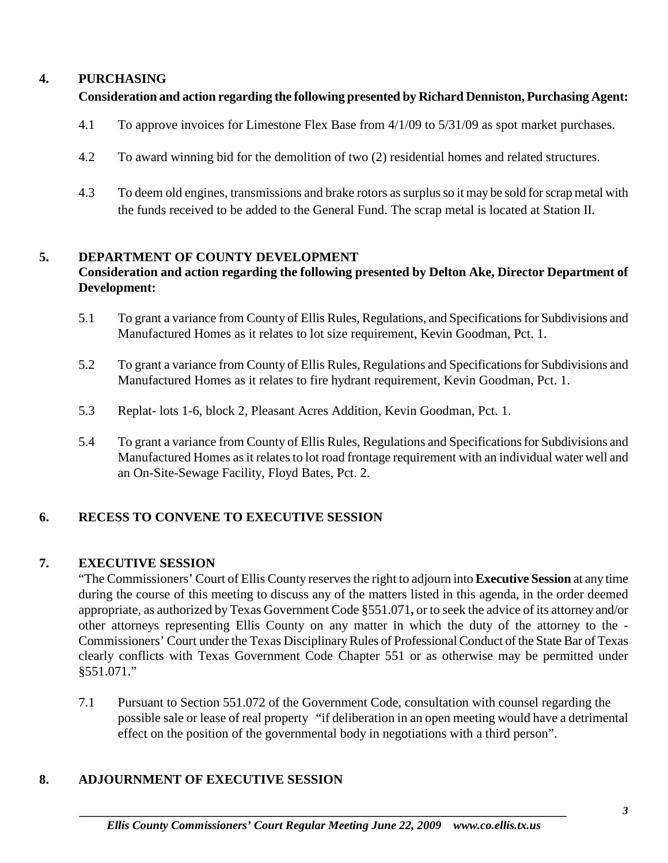## **4. PURCHASING**

## **Consideration and action regarding the following presented by Richard Denniston, Purchasing Agent:**

- 4.1 To approve invoices for Limestone Flex Base from 4/1/09 to 5/31/09 as spot market purchases.
- 4.2 To award winning bid for the demolition of two (2) residential homes and related structures.
- 4.3 To deem old engines, transmissions and brake rotors as surplus so it may be sold for scrap metal with the funds received to be added to the General Fund. The scrap metal is located at Station II.

### **5. DEPARTMENT OF COUNTY DEVELOPMENT**

## **Consideration and action regarding the following presented by Delton Ake, Director Department of Development:**

- 5.1 To grant a variance from County of Ellis Rules, Regulations, and Specifications for Subdivisions and Manufactured Homes as it relates to lot size requirement, Kevin Goodman, Pct. 1.
- 5.2 To grant a variance from County of Ellis Rules, Regulations and Specifications for Subdivisions and Manufactured Homes as it relates to fire hydrant requirement, Kevin Goodman, Pct. 1.
- 5.3 Replat- lots 1-6, block 2, Pleasant Acres Addition, Kevin Goodman, Pct. 1.
- 5.4 To grant a variance from County of Ellis Rules, Regulations and Specifications for Subdivisions and Manufactured Homes as it relates to lot road frontage requirement with an individual water well and an On-Site-Sewage Facility, Floyd Bates, Pct. 2.

### **6. RECESS TO CONVENE TO EXECUTIVE SESSION**

### **7. EXECUTIVE SESSION**

"The Commissioners' Court of Ellis County reserves the right to adjourn into **Executive Session** at any time during the course of this meeting to discuss any of the matters listed in this agenda, in the order deemed appropriate, as authorized by Texas Government Code §551.071**,** or to seek the advice of its attorney and/or other attorneys representing Ellis County on any matter in which the duty of the attorney to the - Commissioners' Court under the Texas Disciplinary Rules of Professional Conduct of the State Bar of Texas clearly conflicts with Texas Government Code Chapter 551 or as otherwise may be permitted under §551.071."

7.1 Pursuant to Section 551.072 of the Government Code, consultation with counsel regarding the possible sale or lease of real property "if deliberation in an open meeting would have a detrimental effect on the position of the governmental body in negotiations with a third person".

# **8. ADJOURNMENT OF EXECUTIVE SESSION**